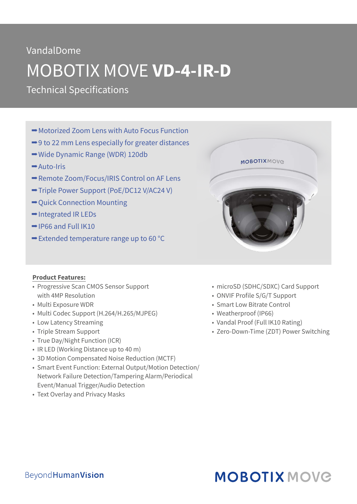## VandalDome

# MOBOTIX MOVE **VD-4-IR-D**

Technical Specifications

- **→ Motorized Zoom Lens with Auto Focus Function**
- $\rightarrow$  9 to 22 mm Lens especially for greater distances
- **→ Wide Dynamic Range (WDR) 120db**
- Auto-Iris
- Remote Zoom/Focus/IRIS Control on AF Lens
- **→ Triple Power Support (PoE/DC12 V/AC24 V)**
- $\rightarrow$  Quick Connection Mounting
- $\rightarrow$  Integrated IR LEDs
- $\rightarrow$  IP66 and Full IK10
- $\rightarrow$  **Extended temperature range up to 60 °C**

#### **Product Features:**

- Progressive Scan CMOS Sensor Support with 4MP Resolution
- Multi Exposure WDR
- Multi Codec Support (H.264/H.265/MJPEG)
- Low Latency Streaming
- Triple Stream Support
- True Day/Night Function (ICR)
- IR LED (Working Distance up to 40 m)
- 3D Motion Compensated Noise Reduction (MCTF)
- Smart Event Function: External Output/Motion Detection/ Network Failure Detection/Tampering Alarm/Periodical Event/Manual Trigger/Audio Detection
- Text Overlay and Privacy Masks



- microSD (SDHC/SDXC) Card Support
- ONVIF Profile S/G/T Support
- Smart Low Bitrate Control
- Weatherproof (IP66)
- Vandal Proof (Full IK10 Rating)
- Zero-Down-Time (ZDT) Power Switching

# **MOBOTIX MOVG**

### **BeyondHumanVision**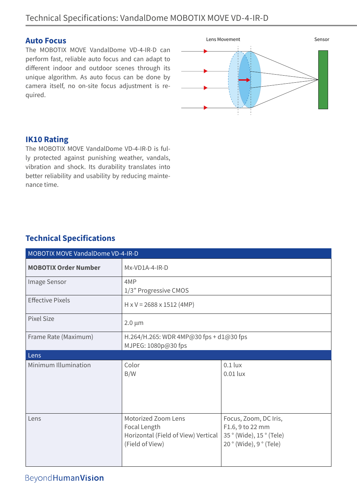#### **Auto Focus**

The MOBOTIX MOVE VandalDome VD-4-IR-D can perform fast, reliable auto focus and can adapt to different indoor and outdoor scenes through its unique algorithm. As auto focus can be done by camera itself, no on-site focus adjustment is required.



#### **IK10 Rating**

The MOBOTIX MOVE VandalDome VD-4-IR-D is fully protected against punishing weather, vandals, vibration and shock. Its durability translates into better reliability and usability by reducing maintenance time.

### **Technical Specifications**

| MOBOTIX MOVE VandalDome VD-4-IR-D |                                                                                               |                                                                                              |  |  |
|-----------------------------------|-----------------------------------------------------------------------------------------------|----------------------------------------------------------------------------------------------|--|--|
| <b>MOBOTIX Order Number</b>       | Mx-VD1A-4-IR-D                                                                                |                                                                                              |  |  |
| Image Sensor                      | 4MP<br>1/3" Progressive CMOS                                                                  |                                                                                              |  |  |
| <b>Effective Pixels</b>           | $H \times V = 2688 \times 1512$ (4MP)                                                         |                                                                                              |  |  |
| <b>Pixel Size</b>                 | $2.0 \mu m$                                                                                   |                                                                                              |  |  |
| Frame Rate (Maximum)              | H.264/H.265: WDR 4MP@30 fps + d1@30 fps<br>MJPEG: 1080p@30 fps                                |                                                                                              |  |  |
| Lens                              |                                                                                               |                                                                                              |  |  |
| Minimum Illumination              | Color<br>B/W                                                                                  | $0.1$ lux<br>$0.01$ lux                                                                      |  |  |
| Lens                              | Motorized Zoom Lens<br>Focal Length<br>Horizontal (Field of View) Vertical<br>(Field of View) | Focus, Zoom, DC Iris,<br>F1.6, 9 to 22 mm<br>35° (Wide), 15° (Tele)<br>20° (Wide), 9° (Tele) |  |  |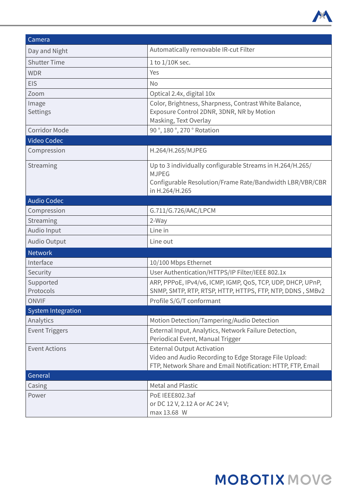

| Camera                    |                                                                                                                                                            |  |
|---------------------------|------------------------------------------------------------------------------------------------------------------------------------------------------------|--|
| Day and Night             | Automatically removable IR-cut Filter                                                                                                                      |  |
| <b>Shutter Time</b>       | 1 to 1/10K sec.                                                                                                                                            |  |
| <b>WDR</b>                | Yes                                                                                                                                                        |  |
| <b>EIS</b>                | No                                                                                                                                                         |  |
| Zoom                      | Optical 2.4x, digital 10x                                                                                                                                  |  |
| Image<br>Settings         | Color, Brightness, Sharpness, Contrast White Balance,<br>Exposure Control 2DNR, 3DNR, NR by Motion<br>Masking, Text Overlay                                |  |
| <b>Corridor Mode</b>      | 90°, 180°, 270° Rotation                                                                                                                                   |  |
| Video Codec               |                                                                                                                                                            |  |
| Compression               | H.264/H.265/MJPEG                                                                                                                                          |  |
| Streaming                 | Up to 3 individually configurable Streams in H.264/H.265/<br><b>MJPEG</b><br>Configurable Resolution/Frame Rate/Bandwidth LBR/VBR/CBR<br>in H.264/H.265    |  |
| <b>Audio Codec</b>        |                                                                                                                                                            |  |
| Compression               | G.711/G.726/AAC/LPCM                                                                                                                                       |  |
| Streaming                 | 2-Way                                                                                                                                                      |  |
| Audio Input               | Line in                                                                                                                                                    |  |
| <b>Audio Output</b>       | Line out                                                                                                                                                   |  |
| <b>Network</b>            |                                                                                                                                                            |  |
| Interface                 | 10/100 Mbps Ethernet                                                                                                                                       |  |
| Security                  | User Authentication/HTTPS/IP Filter/IEEE 802.1x                                                                                                            |  |
| Supported<br>Protocols    | ARP, PPPoE, IPv4/v6, ICMP, IGMP, QoS, TCP, UDP, DHCP, UPnP,<br>SNMP, SMTP, RTP, RTSP, HTTP, HTTPS, FTP, NTP, DDNS, SMBv2                                   |  |
| <b>ONVIF</b>              | Profile S/G/T conformant                                                                                                                                   |  |
| <b>System Integration</b> |                                                                                                                                                            |  |
| Analytics                 | Motion Detection/Tampering/Audio Detection                                                                                                                 |  |
| <b>Event Triggers</b>     | External Input, Analytics, Network Failure Detection,<br>Periodical Event, Manual Trigger                                                                  |  |
| <b>Event Actions</b>      | <b>External Output Activation</b><br>Video and Audio Recording to Edge Storage File Upload:<br>FTP, Network Share and Email Notification: HTTP, FTP, Email |  |
| General                   |                                                                                                                                                            |  |
| Casing                    | <b>Metal and Plastic</b>                                                                                                                                   |  |
| Power                     | PoE IEEE802.3af<br>or DC 12 V, 2.12 A or AC 24 V;<br>max 13.68 W                                                                                           |  |

# **MOBOTIX MOVG**